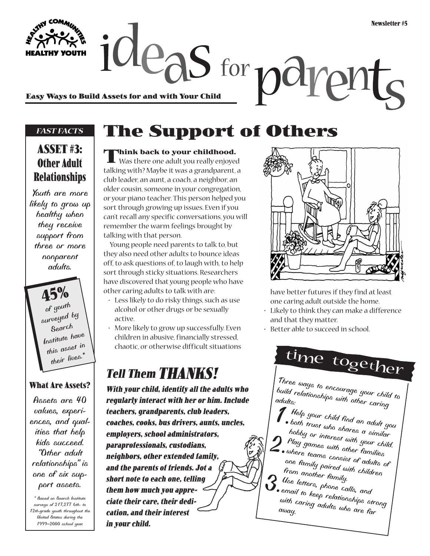EASY YOUTH JUP<sub>O</sub>S for polyper and with Your Child

#### *FAST FACTS*

### **ASSET #3: Other Adult Relationships**

*Youth are more likely to grow up healthy when they receive support from three or more nonparent adults.*

> **45%** *of youth surveyed by Search Institute have this asset in their lives.\**

#### **What Are Assets?**

*Assets are 40 values, experiences, and qualities that help kids succeed. "Other adult relationships" is one of six support assets.*

*\* Based on Search Institute surveys of 217,277 6th- to 12th-grade youth throughout the United States during the 1999–2000 school year.*

## **The Support of Others**

**Think back to your childhood.**<br>
Was there one adult you really enjoyed talking with? Maybe it was a grandparent, a club leader, an aunt, a coach, a neighbor, an older cousin, someone in your congregation, or your piano teacher. This person helped you sort through growing-up issues. Even if you

can't recall any specific conversations, you will remember the warm feelings brought by talking with that person. Young people need parents to talk to, but they also need other adults to bounce ideas off, to ask questions of, to laugh with, to help sort through sticky situations. Researchers have discovered that young people who have

other caring adults to talk with are:

- Less likely to do risky things, such as use alcohol or other drugs or be sexually active.
- More likely to grow up successfully. Even children in abusive, financially stressed, chaotic, or otherwise difficult situations

## **Tell Them THANKS!**

**With your child, identify all the adults who regularly interact with her or him. Include teachers, grandparents, club leaders, coaches, cooks, bus drivers, aunts, uncles, employers, school administrators, paraprofessionals, custodians, neighbors, other extended family, and the parents of friends. Jot a short note to each one, telling them how much you appreciate their care, their dedication, and their interest in your child.** 



have better futures if they find at least one caring adult outside the home.

- Likely to think they can make a difference and that they matter.
- Better able to succeed in school.



*Three ways to encourage your child to*<br>*build relationships with other caring build relationships with other caring adults:*

- *1.Help your child find an adult you both trust who shares a similar hobby or interest with your child. 2.Play games with other families where teams consist of adults of one family paired with children from another family. 3.Use letters, phone calls, and*
- **S**<br>email to keep relationships strong<br>away. adults who are far *with caring adults who are far away.*